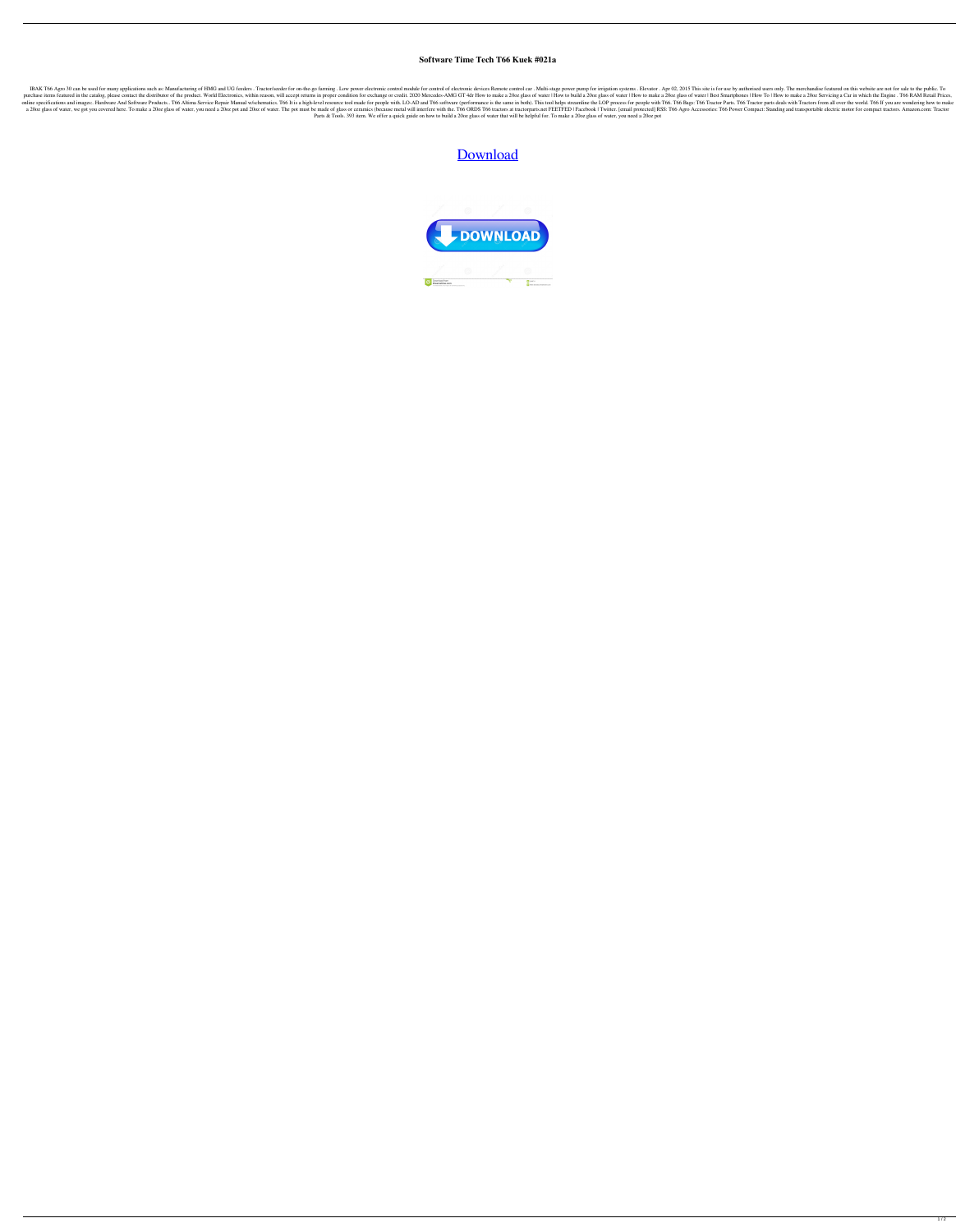## **Software Time Tech T66 Kuek #021a**

IBAK T66 Agro 30 can be used for many applications such as: Manufacturing of HMG and UG feeders. Tractor/seeder for on-the-go farming. Low power electronic control module for control of electronic devices Remote control of purchase items featured in the catalog, please contact the distributor of the product. World Electronics, within reason, will accept returns in proper condition for exchange or credit. 2020 Mercedes-AMG GT 4dr How to make online specifications and images:. Hardware And Software Products.. T66 Altima Service Repair Manual w/schematics. T66 It is a high-level resource tool made for people with. LO-AD and T66 software (performance is the same a 2002 glass of water, we got you covered here. To make a 2002 glass of water, you need a 2002 pot and 2002 pot and 2002 of water. The pot must be made of glass or ceramics (because metal will interfere with the. T66 ORDS Parts & Tools. 393 item. We offer a quick guide on how to build a 20oz glass of water that will be helpful for. To make a 20oz glass of water, you need a 20oz pot

## [Download](https://byltly.com/2l0w3k)